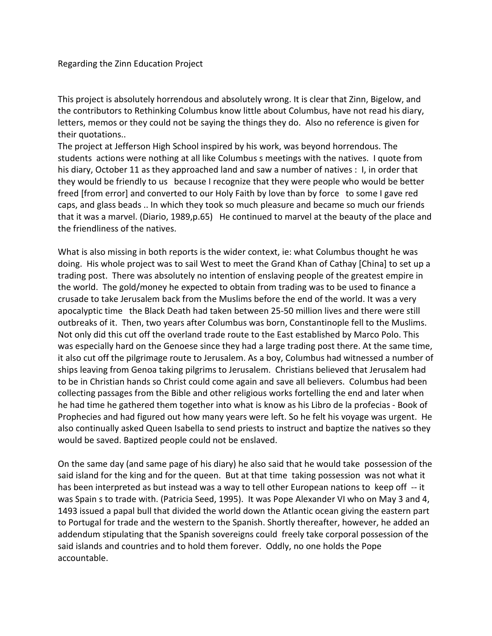## Regarding the Zinn Education Project

This project is absolutely horrendous and absolutely wrong. It is clear that Zinn, Bigelow, and the contributors to Rethinking Columbus know little about Columbus, have not read his diary, letters, memos or they could not be saying the things they do. Also no reference is given for their quotations..

The project at Jefferson High School inspired by his work, was beyond horrendous. The students actions were nothing at all like Columbus s meetings with the natives. I quote from his diary, October 11 as they approached land and saw a number of natives : I, in order that they would be friendly to us because I recognize that they were people who would be better freed [from error] and converted to our Holy Faith by love than by force to some I gave red caps, and glass beads .. In which they took so much pleasure and became so much our friends that it was a marvel. (Diario, 1989,p.65) He continued to marvel at the beauty of the place and the friendliness of the natives.

What is also missing in both reports is the wider context, ie: what Columbus thought he was doing. His whole project was to sail West to meet the Grand Khan of Cathay [China] to set up a trading post. There was absolutely no intention of enslaving people of the greatest empire in the world. The gold/money he expected to obtain from trading was to be used to finance a crusade to take Jerusalem back from the Muslims before the end of the world. It was a very apocalyptic time the Black Death had taken between 25-50 million lives and there were still outbreaks of it. Then, two years after Columbus was born, Constantinople fell to the Muslims. Not only did this cut off the overland trade route to the East established by Marco Polo. This was especially hard on the Genoese since they had a large trading post there. At the same time, it also cut off the pilgrimage route to Jerusalem. As a boy, Columbus had witnessed a number of ships leaving from Genoa taking pilgrims to Jerusalem. Christians believed that Jerusalem had to be in Christian hands so Christ could come again and save all believers. Columbus had been collecting passages from the Bible and other religious works fortelling the end and later when he had time he gathered them together into what is know as his Libro de la profecias - Book of Prophecies and had figured out how many years were left. So he felt his voyage was urgent. He also continually asked Queen Isabella to send priests to instruct and baptize the natives so they would be saved. Baptized people could not be enslaved.

On the same day (and same page of his diary) he also said that he would take possession of the said island for the king and for the queen. But at that time taking possession was not what it has been interpreted as but instead was a way to tell other European nations to keep off -- it was Spain s to trade with. (Patricia Seed, 1995). It was Pope Alexander VI who on May 3 and 4, 1493 issued a papal bull that divided the world down the Atlantic ocean giving the eastern part to Portugal for trade and the western to the Spanish. Shortly thereafter, however, he added an addendum stipulating that the Spanish sovereigns could freely take corporal possession of the said islands and countries and to hold them forever. Oddly, no one holds the Pope accountable.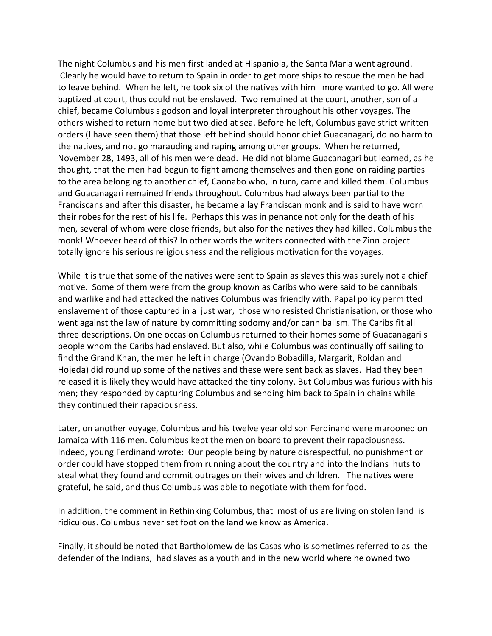The night Columbus and his men first landed at Hispaniola, the Santa Maria went aground. Clearly he would have to return to Spain in order to get more ships to rescue the men he had to leave behind. When he left, he took six of the natives with him more wanted to go. All were baptized at court, thus could not be enslaved. Two remained at the court, another, son of a chief, became Columbus s godson and loyal interpreter throughout his other voyages. The others wished to return home but two died at sea. Before he left, Columbus gave strict written orders (I have seen them) that those left behind should honor chief Guacanagari, do no harm to the natives, and not go marauding and raping among other groups. When he returned, November 28, 1493, all of his men were dead. He did not blame Guacanagari but learned, as he thought, that the men had begun to fight among themselves and then gone on raiding parties to the area belonging to another chief, Caonabo who, in turn, came and killed them. Columbus and Guacanagari remained friends throughout. Columbus had always been partial to the Franciscans and after this disaster, he became a lay Franciscan monk and is said to have worn their robes for the rest of his life. Perhaps this was in penance not only for the death of his men, several of whom were close friends, but also for the natives they had killed. Columbus the monk! Whoever heard of this? In other words the writers connected with the Zinn project totally ignore his serious religiousness and the religious motivation for the voyages.

While it is true that some of the natives were sent to Spain as slaves this was surely not a chief motive. Some of them were from the group known as Caribs who were said to be cannibals and warlike and had attacked the natives Columbus was friendly with. Papal policy permitted enslavement of those captured in a just war, those who resisted Christianisation, or those who went against the law of nature by committing sodomy and/or cannibalism. The Caribs fit all three descriptions. On one occasion Columbus returned to their homes some of Guacanagari s people whom the Caribs had enslaved. But also, while Columbus was continually off sailing to find the Grand Khan, the men he left in charge (Ovando Bobadilla, Margarit, Roldan and Hojeda) did round up some of the natives and these were sent back as slaves. Had they been released it is likely they would have attacked the tiny colony. But Columbus was furious with his men; they responded by capturing Columbus and sending him back to Spain in chains while they continued their rapaciousness.

Later, on another voyage, Columbus and his twelve year old son Ferdinand were marooned on Jamaica with 116 men. Columbus kept the men on board to prevent their rapaciousness. Indeed, young Ferdinand wrote: Our people being by nature disrespectful, no punishment or order could have stopped them from running about the country and into the Indians huts to steal what they found and commit outrages on their wives and children. The natives were grateful, he said, and thus Columbus was able to negotiate with them for food.

In addition, the comment in Rethinking Columbus, that most of us are living on stolen land is ridiculous. Columbus never set foot on the land we know as America.

Finally, it should be noted that Bartholomew de las Casas who is sometimes referred to as the defender of the Indians, had slaves as a youth and in the new world where he owned two